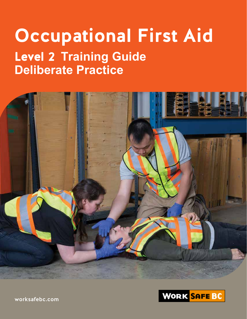# **Occupational First Aid** Level 2 **Training Guide Deliberate Practice**





worksafebc.com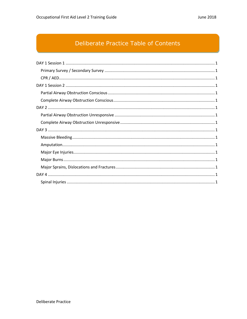## Deliberate Practice Table of Contents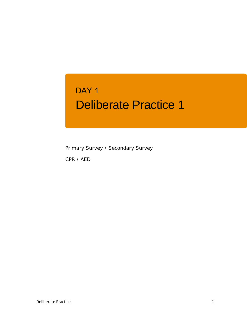## Deliberate Practice 1 DAY<sub>1</sub>

Primary Survey / Secondary Survey

CPR / AED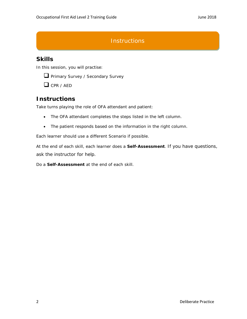## **Instructions**

## **Skills**

In this session, you will practise:



 $\Box$  CPR / AFD

## **Instructions**

Take turns playing the role of OFA attendant and patient:

- The OFA attendant completes the steps listed in the left column.
- The patient responds based on the information in the right column.

Each learner should use a different Scenario if possible.

At the end of each skill, each learner does a **Self-Assessment**. If you have questions, ask the instructor for help.

Do a **Self-Assessment** at the end of each skill.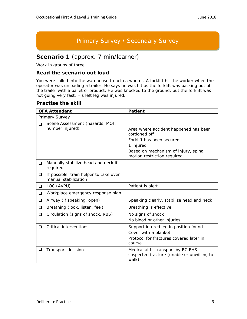## Primary Survey / Secondary Survey

## **Scenario 1** (approx. 7 min/learner)

Work in groups of three.

#### **Read the scenario out loud**

You were called into the warehouse to help a worker. A forklift hit the worker when the operator was unloading a trailer. He says he was hit as the forklift was backing out of the trailer with a pallet of product. He was knocked to the ground, but the forklift was not going very fast. His left leg was injured.

|          | <b>OFA Attendant</b>                                           | <b>Patient</b>                                                                                                                                                         |
|----------|----------------------------------------------------------------|------------------------------------------------------------------------------------------------------------------------------------------------------------------------|
|          | Primary Survey                                                 |                                                                                                                                                                        |
| $\Box$   | Scene Assessment (hazards, MOI,<br>number injured)             | Area where accident happened has been<br>cordoned off<br>Forklift has been secured<br>1 injured<br>Based on mechanism of injury, spinal<br>motion restriction required |
| ❏        | Manually stabilize head and neck if<br>required                |                                                                                                                                                                        |
| $\Box$   | If possible, train helper to take over<br>manual stabilization |                                                                                                                                                                        |
| <b>□</b> | LOC (AVPU)                                                     | Patient is alert                                                                                                                                                       |
| ❏        | Workplace emergency response plan                              |                                                                                                                                                                        |
| ❏        | Airway (if speaking, open)                                     | Speaking clearly, stabilize head and neck                                                                                                                              |
| □        | Breathing (look, listen, feel)                                 | Breathing is effective                                                                                                                                                 |
| ❏        | Circulation (signs of shock, RBS)                              | No signs of shock<br>No blood or other injuries                                                                                                                        |
| ◻        | Critical interventions                                         | Support injured leg in position found<br>Cover with a blanket<br>Protocol for fractures covered later in<br>course                                                     |
| ❏        | Transport decision                                             | Medical aid - transport by BC EHS<br>suspected fracture (unable or unwilling to<br>walk)                                                                               |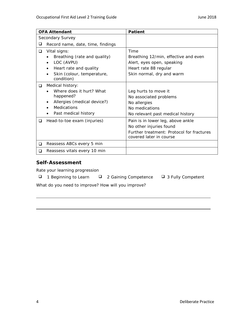|   | <b>OFA Attendant</b>                     | <b>Patient</b>                                   |
|---|------------------------------------------|--------------------------------------------------|
|   | Secondary Survey                         |                                                  |
| ⊔ | Record name, date, time, findings        |                                                  |
| ❏ | Vital signs:                             | Time                                             |
|   | Breathing (rate and quality)             | Breathing 12/min, effective and even             |
|   | LOC (AVPU)                               | Alert, eyes open, speaking                       |
|   | Heart rate and quality                   | Heart rate 88 regular                            |
|   | Skin (colour, temperature,<br>condition) | Skin normal, dry and warm                        |
| ப | Medical history:                         |                                                  |
|   | Where does it hurt? What                 | Leg hurts to move it                             |
|   | happened?                                | No associated problems                           |
|   | Allergies (medical device?)              | No allergies                                     |
|   | <b>Medications</b>                       | No medications                                   |
|   | Past medical history                     | No relevant past medical history                 |
| ◻ | Head-to-toe exam (injuries)              | Pain is in lower leg, above ankle                |
|   |                                          | No other injuries found                          |
|   |                                          | Further treatment: <i>Protocol for fractures</i> |
|   |                                          | covered later in course                          |
| ◻ | Reassess ABCs every 5 min                |                                                  |
| ப | Reassess vitals every 10 min             |                                                  |

Rate your learning progression

- $\Box$  1 Beginning to Learn  $\Box$  2 Gaining Competence  $\Box$  3 Fully Competent
	-
-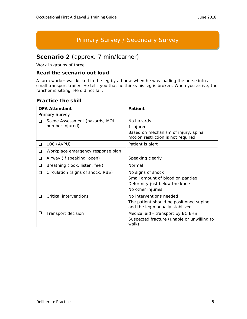## Primary Survey / Secondary Survey

## **Scenario 2** (approx. 7 min/learner)

Work in groups of three.

#### **Read the scenario out loud**

A farm worker was kicked in the leg by a horse when he was loading the horse into a small transport trailer. He tells you that he thinks his leg is broken. When you arrive, the rancher is sitting. He did not fall.

|                       | <b>OFA Attendant</b>                               | <b>Patient</b>                                                                                              |
|-----------------------|----------------------------------------------------|-------------------------------------------------------------------------------------------------------------|
| <b>Primary Survey</b> |                                                    |                                                                                                             |
| ◻                     | Scene Assessment (hazards, MOI,<br>number injured) | No hazards<br>1 injured<br>Based on mechanism of injury, spinal<br>motion restriction is not required       |
| ❏                     | LOC (AVPU)                                         | Patient is alert                                                                                            |
| ◻                     | Workplace emergency response plan                  |                                                                                                             |
| ❏                     | Airway (if speaking, open)                         | Speaking clearly                                                                                            |
| ◻                     | Breathing (look, listen, feel)                     | Normal                                                                                                      |
| ◻                     | Circulation (signs of shock, RBS)                  | No signs of shock<br>Small amount of blood on pantleg<br>Deformity just below the knee<br>No other injuries |
|                       | Critical interventions                             | No interventions needed<br>The patient should be positioned supine<br>and the leg manually stabilized       |
| u                     | Transport decision                                 | Medical aid - transport by BC EHS<br>Suspected fracture (unable or unwilling to<br>walk)                    |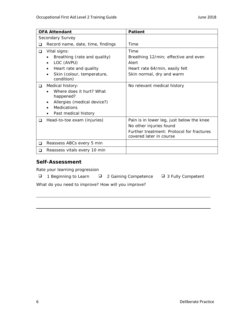|          | <b>OFA Attendant</b>                                                                                                            | <b>Patient</b>                                                                                                                                      |
|----------|---------------------------------------------------------------------------------------------------------------------------------|-----------------------------------------------------------------------------------------------------------------------------------------------------|
|          | Secondary Survey                                                                                                                |                                                                                                                                                     |
| ◻        | Record name, date, time, findings                                                                                               | Time                                                                                                                                                |
| ❏        | Vital signs:<br>Breathing (rate and quality)                                                                                    | Time<br>Breathing 12/min; effective and even                                                                                                        |
|          | LOC (AVPU)<br>Heart rate and quality<br>Skin (colour, temperature,<br>condition)                                                | Alert<br>Heart rate 64/min, easily felt<br>Skin normal, dry and warm                                                                                |
| ❏        | Medical history:<br>Where does it hurt? What<br>happened?<br>Allergies (medical device?)<br>Medications<br>Past medical history | No relevant medical history                                                                                                                         |
| ❏        | Head-to-toe exam (injuries)                                                                                                     | Pain is in lower leg, just below the knee<br>No other injuries found<br>Further treatment: <i>Protocol for fractures</i><br>covered later in course |
| <b>□</b> | Reassess ABCs every 5 min                                                                                                       |                                                                                                                                                     |
| ◻        | Reassess vitals every 10 min                                                                                                    |                                                                                                                                                     |

Rate your learning progression

- $\Box$  1 Beginning to Learn  $\Box$  2 Gaining Competence  $\Box$  3 Fully Competent
	-
-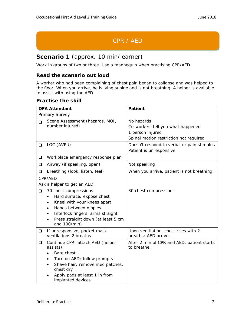## CPR / AED

## **Scenario 1** (approx. 10 min/learner)

Work in groups of two or three. Use a mannequin when practising CPR/AED.

#### **Read the scenario out loud**

A worker who had been complaining of chest pain began to collapse and was helped to the floor. When you arrive, he is lying supine and is not breathing. A helper is available to assist with using the AED.

|                | <b>OFA Attendant</b>                                                                                                                                                                                                                                 | <b>Patient</b>                                                                                                |
|----------------|------------------------------------------------------------------------------------------------------------------------------------------------------------------------------------------------------------------------------------------------------|---------------------------------------------------------------------------------------------------------------|
| Primary Survey |                                                                                                                                                                                                                                                      |                                                                                                               |
| ◻              | Scene Assessment (hazards, MOI,<br>number injured)                                                                                                                                                                                                   | No hazards<br>Co-workers tell you what happened<br>1 person injured<br>Spinal motion restriction not required |
| $\Box$         | LOC (AVPU)                                                                                                                                                                                                                                           | Doesn't respond to verbal or pain stimulus<br>Patient is unresponsive                                         |
| ❏              | Workplace emergency response plan                                                                                                                                                                                                                    |                                                                                                               |
| ❏              | Airway (if speaking, open)                                                                                                                                                                                                                           | Not speaking                                                                                                  |
| ❏              | Breathing (look, listen, feel)                                                                                                                                                                                                                       | When you arrive, patient is not breathing                                                                     |
| $\Box$         | CPR/AED<br>Ask a helper to get an AED.<br>30 chest compressions<br>Hard surface; expose chest<br>٠<br>Kneel with your knees apart<br>Hands between nipples<br>Interlock fingers, arms straight<br>Press straight down (at least 5 cm<br>and 100/min) | 30 chest compressions                                                                                         |
| ❏              | If unresponsive, pocket mask<br>ventilations 2 breaths                                                                                                                                                                                               | Upon ventilation, chest rises with 2<br>breaths; AED arrives                                                  |
| $\Box$         | Continue CPR; attach AED (helper<br>assists):<br>Bare chest<br>Turn on AED; follow prompts<br>Shave hair; remove med patches;<br>chest dry<br>Apply pads at least 1 in from<br>implanted devices                                                     | After 2 min of CPR and AED, patient starts<br>to breathe.                                                     |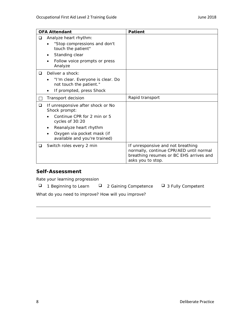|   | <b>OFA Attendant</b>                                         | <b>Patient</b>                                                                                                                               |
|---|--------------------------------------------------------------|----------------------------------------------------------------------------------------------------------------------------------------------|
| □ | Analyze heart rhythm:                                        |                                                                                                                                              |
|   | "Stop compressions and don't<br>touch the patient"           |                                                                                                                                              |
|   | Standing clear                                               |                                                                                                                                              |
|   | Follow voice prompts or press<br>Analyze                     |                                                                                                                                              |
| ❏ | Deliver a shock:                                             |                                                                                                                                              |
|   | "I'm clear. Everyone is clear. Do<br>not touch the patient." |                                                                                                                                              |
|   | If prompted, press Shock                                     |                                                                                                                                              |
|   | Transport decision                                           | Rapid transport                                                                                                                              |
| ❏ | If unresponsive after shock or No<br>Shock prompt:           |                                                                                                                                              |
|   | Continue CPR for 2 min or 5<br>cycles of 30:20               |                                                                                                                                              |
|   | Reanalyze heart rhythm<br>$\bullet$                          |                                                                                                                                              |
|   | Oxygen via pocket mask (if<br>available and you're trained)  |                                                                                                                                              |
| □ | Switch roles every 2 min                                     | If unresponsive and not breathing<br>normally, continue CPR/AED until normal<br>breathing resumes or BC EHS arrives and<br>asks you to stop. |

Rate your learning progression

| 1 Beginning to Learn | □ 2 Gaining Competence | $\Box$ 3 |
|----------------------|------------------------|----------|
|                      |                        |          |

Fully Competent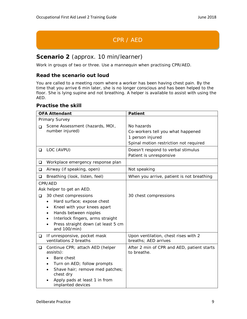## CPR / AED

## **Scenario 2** (approx. 10 min/learner)

Work in groups of two or three. Use a mannequin when practising CPR/AED.

#### **Read the scenario out loud**

You are called to a meeting room where a worker has been having chest pain. By the time that you arrive 6 min later, she is no longer conscious and has been helped to the floor. She is lying supine and not breathing. A helper is available to assist with using the AED.

|        | <b>OFA Attendant</b>                               | <b>Patient</b>                             |
|--------|----------------------------------------------------|--------------------------------------------|
|        | Primary Survey                                     |                                            |
| ◻      | Scene Assessment (hazards, MOI,                    | No hazards                                 |
|        | number injured)                                    | Co-workers tell you what happened          |
|        |                                                    | 1 person injured                           |
|        |                                                    | Spinal motion restriction not required     |
| $\Box$ | LOC (AVPU)                                         | Doesn't respond to verbal stimulus         |
|        |                                                    | Patient is unresponsive                    |
| ⊔      | Workplace emergency response plan                  |                                            |
| ❏      | Airway (if speaking, open)                         | Not speaking                               |
| ❏      | Breathing (look, listen, feel)                     | When you arrive, patient is not breathing  |
|        | CPR/AED                                            |                                            |
|        | Ask helper to get an AED.                          |                                            |
| ❏      | 30 chest compressions                              | 30 chest compressions                      |
|        | Hard surface; expose chest                         |                                            |
|        | Kneel with your knees apart                        |                                            |
|        | Hands between nipples                              |                                            |
|        | Interlock fingers, arms straight                   |                                            |
|        | Press straight down (at least 5 cm<br>and 100/min) |                                            |
| $\Box$ | If unresponsive, pocket mask                       | Upon ventilation, chest rises with 2       |
|        | ventilations 2 breaths                             | breaths; AED arrives                       |
| $\Box$ | Continue CPR; attach AED (helper                   | After 2 min of CPR and AED, patient starts |
|        | assists):                                          | to breathe.                                |
|        | Bare chest                                         |                                            |
|        | Turn on AED; follow prompts                        |                                            |
|        | Shave hair; remove med patches;<br>chest dry       |                                            |
|        | Apply pads at least 1 in from<br>implanted devices |                                            |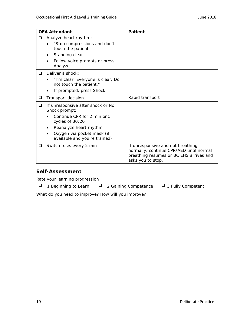|   | <b>OFA Attendant</b>                                         | <b>Patient</b>                                                                                                                               |
|---|--------------------------------------------------------------|----------------------------------------------------------------------------------------------------------------------------------------------|
| ◻ | Analyze heart rhythm:                                        |                                                                                                                                              |
|   | "Stop compressions and don't<br>touch the patient"           |                                                                                                                                              |
|   | Standing clear                                               |                                                                                                                                              |
|   | Follow voice prompts or press<br>Analyze                     |                                                                                                                                              |
| ❏ | Deliver a shock:                                             |                                                                                                                                              |
|   | "I'm clear. Everyone is clear. Do<br>not touch the patient." |                                                                                                                                              |
|   | If prompted, press Shock                                     |                                                                                                                                              |
| ❏ | Transport decision                                           | Rapid transport                                                                                                                              |
| ❏ | If unresponsive after shock or No<br>Shock prompt:           |                                                                                                                                              |
|   | Continue CPR for 2 min or 5<br>cycles of 30:20               |                                                                                                                                              |
|   | Reanalyze heart rhythm                                       |                                                                                                                                              |
|   | Oxygen via pocket mask (if<br>available and you're trained)  |                                                                                                                                              |
| ப | Switch roles every 2 min                                     | If unresponsive and not breathing<br>normally, continue CPR/AED until normal<br>breathing resumes or BC EHS arrives and<br>asks you to stop. |

Rate your learning progression

|  | 1 Beginning to Learn |  | □ 2 Gaining Competence | $\Box$ 3 F |
|--|----------------------|--|------------------------|------------|
|--|----------------------|--|------------------------|------------|

Fully Competent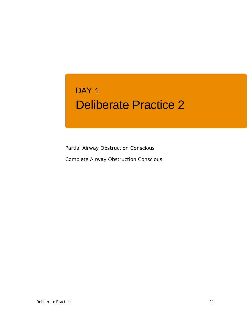## Deliberate Practice 2 DAY<sub>1</sub>

Partial Airway Obstruction Conscious Complete Airway Obstruction Conscious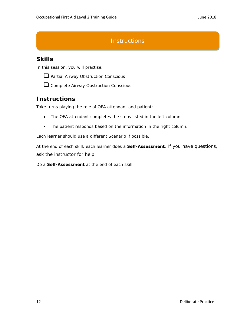## **Instructions**

## **Skills**

In this session, you will practise:



 $\Box$  Partial Airway Obstruction Conscious



**Q** Complete Airway Obstruction Conscious

## **Instructions**

Take turns playing the role of OFA attendant and patient:

- The OFA attendant completes the steps listed in the left column.
- The patient responds based on the information in the right column.

Each learner should use a different Scenario if possible.

At the end of each skill, each learner does a **Self-Assessment**. If you have questions, ask the instructor for help.

Do a **Self-Assessment** at the end of each skill.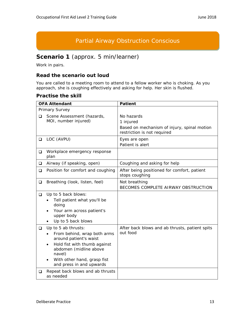## Partial Airway Obstruction Conscious

## **Scenario 1** (approx. 5 min/learner)

Work in pairs.

#### **Read the scenario out loud**

You are called to a meeting room to attend to a fellow worker who is choking. As you approach, she is coughing effectively and asking for help. Her skin is flushed.

| <b>OFA Attendant</b> |                                                                                                                                                                                                                          | <b>Patient</b>                                                                                        |
|----------------------|--------------------------------------------------------------------------------------------------------------------------------------------------------------------------------------------------------------------------|-------------------------------------------------------------------------------------------------------|
| Primary Survey       |                                                                                                                                                                                                                          |                                                                                                       |
| ❏                    | Scene Assessment (hazards,<br>MOI, number injured)                                                                                                                                                                       | No hazards<br>1 injured<br>Based on mechanism of injury, spinal motion<br>restriction is not required |
| ❏                    | LOC (AVPU)                                                                                                                                                                                                               | Eyes are open<br>Patient is alert                                                                     |
| ❏                    | Workplace emergency response<br>plan                                                                                                                                                                                     |                                                                                                       |
| $\Box$               | Airway (if speaking, open)                                                                                                                                                                                               | Coughing and asking for help                                                                          |
| ❏                    | Position for comfort and coughing                                                                                                                                                                                        | After being positioned for comfort, patient<br>stops coughing                                         |
| ❏                    | Breathing (look, listen, feel)                                                                                                                                                                                           | Not breathing<br>BECOMES COMPLETE AIRWAY OBSTRUCTION                                                  |
| ❏                    | Up to 5 back blows:<br>Tell patient what you'll be<br>doing<br>Your arm across patient's<br>upper body<br>Up to 5 back blows                                                                                             |                                                                                                       |
| $\Box$               | Up to 5 ab thrusts:<br>From behind, wrap both arms<br>around patient's waist<br>Hold fist with thumb against<br>$\bullet$<br>abdomen (midline above<br>navel)<br>With other hand, grasp fist<br>and press in and upwards | After back blows and ab thrusts, patient spits<br>out food                                            |
| ❏                    | Repeat back blows and ab thrusts<br>as needed                                                                                                                                                                            |                                                                                                       |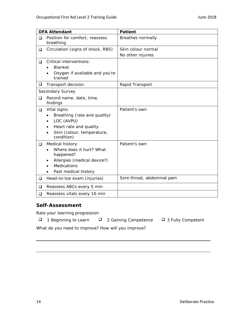| <b>OFA Attendant</b>                                                                                                                   | <b>Patient</b>                          |
|----------------------------------------------------------------------------------------------------------------------------------------|-----------------------------------------|
| Position for comfort; reassess<br>breathing                                                                                            | Breathes normally                       |
| Circulation (signs of shock, RBS)                                                                                                      | Skin colour normal<br>No other injuries |
| Critical interventions:<br><b>Blanket</b><br>Oxygen if available and you're<br>trained                                                 |                                         |
| Transport decision                                                                                                                     | Rapid Transport                         |
| Secondary Survey                                                                                                                       |                                         |
| Record name, date, time,<br>findings                                                                                                   |                                         |
| Vital signs:<br>Breathing (rate and quality)<br>LOC (AVPU)<br>Heart rate and quality<br>Skin (colour, temperature,<br>condition)       | Patient's own                           |
| Medical history:<br>Where does it hurt? What<br>happened?<br>Allergies (medical device?)<br><b>Medications</b><br>Past medical history | Patient's own                           |
| Head-to-toe exam (injuries)                                                                                                            | Sore throat, abdominal pain             |
|                                                                                                                                        |                                         |
| Reassess vitals every 10 min                                                                                                           |                                         |
|                                                                                                                                        | Reassess ABCs every 5 min               |

Rate your learning progression

 $\Box$  1 Beginning to Learn  $\Box$  2 Gaining Competence  $\Box$  3 Fully Competent

- 
-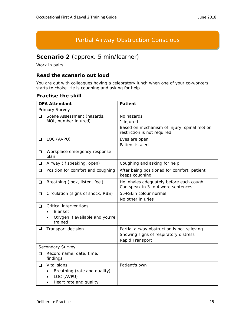## Partial Airway Obstruction Conscious

## **Scenario 2** (approx. 5 min/learner)

Work in pairs.

#### **Read the scenario out loud**

You are out with colleagues having a celebratory lunch when one of your co-workers starts to choke. He is coughing and asking for help.

|        | <b>OFA Attendant</b>                                                                               | <b>Patient</b>                                                                                          |
|--------|----------------------------------------------------------------------------------------------------|---------------------------------------------------------------------------------------------------------|
|        | Primary Survey                                                                                     |                                                                                                         |
| ◻      | Scene Assessment (hazards,<br>MOI, number injured)                                                 | No hazards<br>1 injured<br>Based on mechanism of injury, spinal motion<br>restriction is not required   |
| ❏      | LOC (AVPU)                                                                                         | Eyes are open<br>Patient is alert                                                                       |
| u      | Workplace emergency response<br>plan                                                               |                                                                                                         |
| Q.     | Airway (if speaking, open)                                                                         | Coughing and asking for help                                                                            |
| $\Box$ | Position for comfort and coughing                                                                  | After being positioned for comfort, patient<br>keeps coughing                                           |
| $\Box$ | Breathing (look, listen, feel)                                                                     | He inhales adequately before each cough<br>Can speak in 3 to 4 word sentences                           |
| $\Box$ | Circulation (signs of shock, RBS)                                                                  | 55+Skin colour normal<br>No other injuries                                                              |
| □      | Critical interventions<br><b>Blanket</b><br>$\bullet$<br>Oxygen if available and you're<br>trained |                                                                                                         |
| $\Box$ | Transport decision                                                                                 | Partial airway obstruction is not relieving<br>Showing signs of respiratory distress<br>Rapid Transport |
|        | Secondary Survey                                                                                   |                                                                                                         |
| ◻      | Record name, date, time,<br>findings                                                               |                                                                                                         |
| ❏      | Vital signs:<br>Breathing (rate and quality)<br>LOC (AVPU)<br>Heart rate and quality<br>٠          | Patient's own                                                                                           |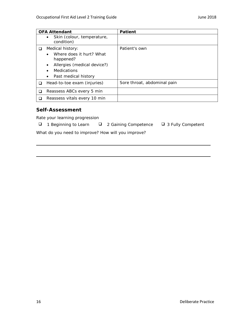| <b>OFA Attendant</b>                                                                                                                                                          | Patient                     |
|-------------------------------------------------------------------------------------------------------------------------------------------------------------------------------|-----------------------------|
| Skin (colour, temperature,<br>$\bullet$<br>condition)                                                                                                                         |                             |
| Medical history:<br>Where does it hurt? What<br>happened?<br>Allergies (medical device?)<br>$\bullet$<br><b>Medications</b><br>$\bullet$<br>Past medical history<br>$\bullet$ | Patient's own               |
| Head-to-toe exam (injuries)                                                                                                                                                   | Sore throat, abdominal pain |
| Reassess ABCs every 5 min                                                                                                                                                     |                             |
| Reassess vitals every 10 min                                                                                                                                                  |                             |

Rate your learning progression

- $\Box$  1 Beginning to Learn  $\Box$  2 Gaining Competence  $\Box$  3 Fully Competent
	-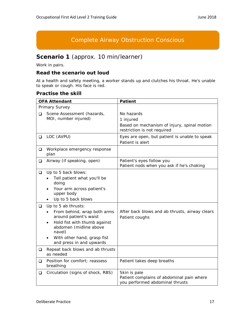## Complete Airway Obstruction Conscious

## **Scenario 1** (approx. 10 min/learner)

Work in pairs.

#### **Read the scenario out loud**

At a health and safety meeting, a worker stands up and clutches his throat. He's unable to speak or cough. His face is red.

|        | <b>OFA Attendant</b>                                                                                                                                                                                                     | <b>Patient</b>                                                                                        |
|--------|--------------------------------------------------------------------------------------------------------------------------------------------------------------------------------------------------------------------------|-------------------------------------------------------------------------------------------------------|
|        | Primary Survey                                                                                                                                                                                                           |                                                                                                       |
| ◻      | Scene Assessment (hazards,<br>MOI, number injured)                                                                                                                                                                       | No hazards<br>1 injured<br>Based on mechanism of injury, spinal motion<br>restriction is not required |
| $\Box$ | LOC (AVPU)                                                                                                                                                                                                               | Eyes are open, but patient is unable to speak<br>Patient is alert                                     |
| ⊔      | Workplace emergency response<br>plan                                                                                                                                                                                     |                                                                                                       |
| $\Box$ | Airway (if speaking, open)                                                                                                                                                                                               | Patient's eyes follow you<br>Patient nods when you ask if he's choking                                |
| $\Box$ | Up to 5 back blows:<br>Tell patient what you'll be<br>doing<br>Your arm across patient's<br>$\bullet$<br>upper body<br>Up to 5 back blows                                                                                |                                                                                                       |
| ◻      | Up to 5 ab thrusts:<br>From behind, wrap both arms<br>around patient's waist<br>Hold fist with thumb against<br>$\bullet$<br>abdomen (midline above<br>navel)<br>With other hand, grasp fist<br>and press in and upwards | After back blows and ab thrusts, airway clears<br>Patient coughs                                      |
| ❏      | Repeat back blows and ab thrusts<br>as needed                                                                                                                                                                            |                                                                                                       |
| ❏      | Position for comfort; reassess<br>breathing                                                                                                                                                                              | Patient takes deep breaths                                                                            |
| ❏      | Circulation (signs of shock, RBS)                                                                                                                                                                                        | Skin is pale<br>Patient complains of abdominal pain where<br>you performed abdominal thrusts          |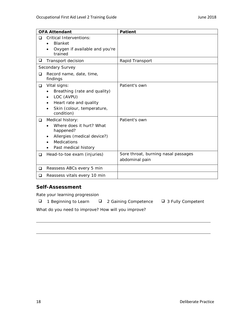|        | <b>OFA Attendant</b>                                                                                                                   | <b>Patient</b>                                        |
|--------|----------------------------------------------------------------------------------------------------------------------------------------|-------------------------------------------------------|
| □      | <b>Critical Interventions:</b><br><b>Blanket</b><br>$\bullet$<br>Oxygen if available and you're<br>trained                             |                                                       |
| $\Box$ | Transport decision                                                                                                                     | Rapid Transport                                       |
|        | Secondary Survey                                                                                                                       |                                                       |
| □      | Record name, date, time,<br>findings                                                                                                   |                                                       |
| $\Box$ | Vital signs:<br>Breathing (rate and quality)<br>LOC (AVPU)<br>Heart rate and quality<br>Skin (colour, temperature,<br>condition)       | Patient's own                                         |
| ❏      | Medical history:<br>Where does it hurt? What<br>happened?<br>Allergies (medical device?)<br><b>Medications</b><br>Past medical history | Patient's own                                         |
| ❏      | Head-to-toe exam (injuries)                                                                                                            | Sore throat, burning nasal passages<br>abdominal pain |
| □      | Reassess ABCs every 5 min                                                                                                              |                                                       |
| ❏      | Reassess vitals every 10 min                                                                                                           |                                                       |

Rate your learning progression

 $\Box$  1 Beginning to Learn  $\Box$  2 Gaining Competence  $\Box$  3 Fully Competent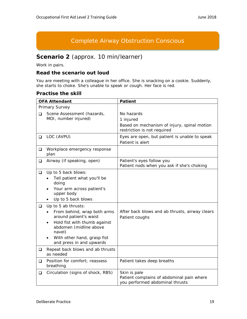## Complete Airway Obstruction Conscious

## **Scenario 2** (approx. 10 min/learner)

Work in pairs.

#### **Read the scenario out loud**

You are meeting with a colleague in her office. She is snacking on a cookie. Suddenly, she starts to choke. She's unable to speak or cough. Her face is red.

|        | <b>OFA Attendant</b>                                                                                                                                                                                                     | <b>Patient</b>                                                                                        |
|--------|--------------------------------------------------------------------------------------------------------------------------------------------------------------------------------------------------------------------------|-------------------------------------------------------------------------------------------------------|
|        | Primary Survey                                                                                                                                                                                                           |                                                                                                       |
| o.     | Scene Assessment (hazards,<br>MOI, number injured)                                                                                                                                                                       | No hazards<br>1 injured<br>Based on mechanism of injury, spinal motion<br>restriction is not required |
| $\Box$ | LOC (AVPU)                                                                                                                                                                                                               | Eyes are open, but patient is unable to speak<br>Patient is alert                                     |
| Q      | Workplace emergency response<br>plan                                                                                                                                                                                     |                                                                                                       |
| o.     | Airway (if speaking, open)                                                                                                                                                                                               | Patient's eyes follow you<br>Patient nods when you ask if she's choking                               |
| Q.     | Up to 5 back blows:<br>Tell patient what you'll be<br>doing<br>Your arm across patient's<br>upper body<br>Up to 5 back blows                                                                                             |                                                                                                       |
| □      | Up to 5 ab thrusts:<br>From behind, wrap both arms<br>around patient's waist<br>Hold fist with thumb against<br>$\bullet$<br>abdomen (midline above<br>navel)<br>With other hand, grasp fist<br>and press in and upwards | After back blows and ab thrusts, airway clears<br>Patient coughs                                      |
| ❏      | Repeat back blows and ab thrusts<br>as needed                                                                                                                                                                            |                                                                                                       |
| ◻      | Position for comfort; reassess<br>breathing                                                                                                                                                                              | Patient takes deep breaths                                                                            |
| $\Box$ | Circulation (signs of shock, RBS)                                                                                                                                                                                        | Skin is pale<br>Patient complains of abdominal pain where<br>you performed abdominal thrusts          |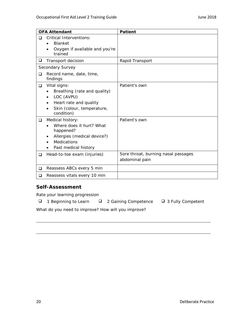|        | <b>OFA Attendant</b>                                                                                                                   | <b>Patient</b>                                        |
|--------|----------------------------------------------------------------------------------------------------------------------------------------|-------------------------------------------------------|
| □      | <b>Critical Interventions:</b><br><b>Blanket</b><br>$\bullet$<br>Oxygen if available and you're<br>trained                             |                                                       |
| $\Box$ | Transport decision                                                                                                                     | Rapid Transport                                       |
|        | Secondary Survey                                                                                                                       |                                                       |
| □      | Record name, date, time,<br>findings                                                                                                   |                                                       |
| $\Box$ | Vital signs:<br>Breathing (rate and quality)<br>LOC (AVPU)<br>Heart rate and quality<br>Skin (colour, temperature,<br>condition)       | Patient's own                                         |
| ❏      | Medical history:<br>Where does it hurt? What<br>happened?<br>Allergies (medical device?)<br><b>Medications</b><br>Past medical history | Patient's own                                         |
| ❏      | Head-to-toe exam (injuries)                                                                                                            | Sore throat, burning nasal passages<br>abdominal pain |
| □      | Reassess ABCs every 5 min                                                                                                              |                                                       |
| ❏      | Reassess vitals every 10 min                                                                                                           |                                                       |

Rate your learning progression

 $\Box$  1 Beginning to Learn  $\Box$  2 Gaining Competence  $\Box$  3 Fully Competent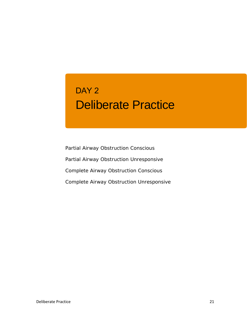## Deliberate Practice DAY 2

Partial Airway Obstruction Conscious Partial Airway Obstruction Unresponsive Complete Airway Obstruction Conscious Complete Airway Obstruction Unresponsive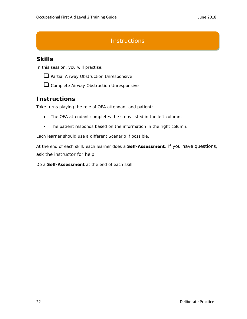## **Instructions**

## **Skills**

In this session, you will practise:



**Q** Partial Airway Obstruction Unresponsive

**Q** Complete Airway Obstruction Unresponsive

## **Instructions**

Take turns playing the role of OFA attendant and patient:

- The OFA attendant completes the steps listed in the left column.
- The patient responds based on the information in the right column.

Each learner should use a different Scenario if possible.

At the end of each skill, each learner does a **Self-Assessment**. If you have questions, ask the instructor for help.

Do a **Self-Assessment** at the end of each skill.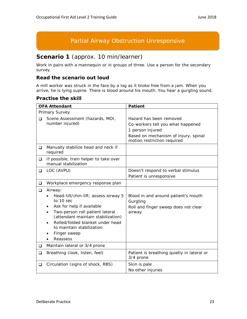## Partial Airway Obstruction Unresponsive

## **Scenario 1** (approx. 10 min/learner)

Work in pairs with a mannequin or in groups of three. Use a person for the secondary survey.

#### **Read the scenario out loud**

A mill worker was struck in the face by a log as it broke free from a jam. When you arrive, he is lying supine. There is blood around his mouth. You hear a gurgling sound.

|          | <b>OFA Attendant</b>                                                                                                                                                                                                                                            | <b>Patient</b>                                                                                                                                          |
|----------|-----------------------------------------------------------------------------------------------------------------------------------------------------------------------------------------------------------------------------------------------------------------|---------------------------------------------------------------------------------------------------------------------------------------------------------|
|          | Primary Survey                                                                                                                                                                                                                                                  |                                                                                                                                                         |
| <b>□</b> | Scene Assessment (hazards, MOI,<br>number injured)                                                                                                                                                                                                              | Hazard has been removed<br>Co-workers tell you what happened<br>1 person injured<br>Based on mechanism of injury, spinal<br>motion restriction required |
| ❏        | Manually stabilize head and neck if<br>required                                                                                                                                                                                                                 |                                                                                                                                                         |
| $\Box$   | If possible, train helper to take over<br>manual stabilization                                                                                                                                                                                                  |                                                                                                                                                         |
| $\Box$   | LOC (AVPU)                                                                                                                                                                                                                                                      | Doesn't respond to verbal stimulus<br>Patient is unresponsive                                                                                           |
| ❏        | Workplace emergency response plan                                                                                                                                                                                                                               |                                                                                                                                                         |
| $\Box$   | Airway:<br>Head-tilt/chin-lift; assess airway 5<br>to 10 sec<br>Ask for help if available<br>Two-person roll patient lateral<br>(attendant maintain stabilization)<br>Rolled/folded blanket under head<br>to maintain stabilization<br>Finger sweep<br>Reassess | Blood in and around patient's mouth<br>Gurgling<br>Roll and finger sweep does not clear<br>airway                                                       |
| $\Box$   | Maintain lateral or 3/4 prone                                                                                                                                                                                                                                   |                                                                                                                                                         |
| $\Box$   | Breathing (look, listen, feel)                                                                                                                                                                                                                                  | Patient is breathing quietly in lateral or<br>3/4 prone                                                                                                 |
| $\Box$   | Circulation (signs of shock, RBS)                                                                                                                                                                                                                               | Skin is pale<br>No other injuries                                                                                                                       |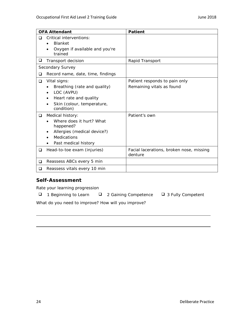|   | <b>OFA Attendant</b>                      | <b>Patient</b>                                      |
|---|-------------------------------------------|-----------------------------------------------------|
| ◻ | Critical interventions:                   |                                                     |
|   | <b>Blanket</b>                            |                                                     |
|   | Oxygen if available and you're<br>trained |                                                     |
| ❏ | Transport decision                        | Rapid Transport                                     |
|   | Secondary Survey                          |                                                     |
| ◻ | Record name, date, time, findings         |                                                     |
| ❏ | Vital signs:                              | Patient responds to pain only                       |
|   | Breathing (rate and quality)              | Remaining vitals as found                           |
|   | LOC (AVPU)                                |                                                     |
|   | Heart rate and quality                    |                                                     |
|   | Skin (colour, temperature,<br>condition)  |                                                     |
| ❏ | Medical history:                          | Patient's own                                       |
|   | Where does it hurt? What<br>happened?     |                                                     |
|   | Allergies (medical device?)               |                                                     |
|   | <b>Medications</b>                        |                                                     |
|   | Past medical history                      |                                                     |
| ❏ | Head-to-toe exam (injuries)               | Facial lacerations, broken nose, missing<br>denture |
| □ | Reassess ABCs every 5 min                 |                                                     |
| ◻ | Reassess vitals every 10 min              |                                                     |

Rate your learning progression

|  | 1 Beginning to Learn |  | 2 2 Gaining Competence | □ 3 Fully Competent |
|--|----------------------|--|------------------------|---------------------|
|--|----------------------|--|------------------------|---------------------|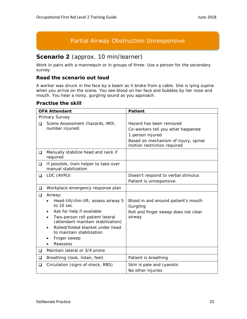## Partial Airway Obstruction Unresponsive

## **Scenario 2** (approx. 10 min/learner)

Work in pairs with a mannequin or in groups of three. Use a person for the secondary survey.

#### **Read the scenario out loud**

A worker was struck in the face by a beam as it broke from a cable. She is lying supine when you arrive on the scene. You see blood on her face and bubbles by her nose and mouth. You hear a noisy, gurgling sound as you approach.

|          | <b>OFA Attendant</b>                                                                                                                                                                                                                                                                      | <b>Patient</b>                                                                                                                                          |
|----------|-------------------------------------------------------------------------------------------------------------------------------------------------------------------------------------------------------------------------------------------------------------------------------------------|---------------------------------------------------------------------------------------------------------------------------------------------------------|
|          | Primary Survey                                                                                                                                                                                                                                                                            |                                                                                                                                                         |
| □        | Scene Assessment (hazards, MOI,<br>number injured)                                                                                                                                                                                                                                        | Hazard has been removed<br>Co-workers tell you what happened<br>1 person injured<br>Based on mechanism of injury, spinal<br>motion restriction required |
| ❏        | Manually stabilize head and neck if<br>required                                                                                                                                                                                                                                           |                                                                                                                                                         |
| ❏        | If possible, train helper to take over<br>manual stabilization                                                                                                                                                                                                                            |                                                                                                                                                         |
| ❏        | LOC (AVPU)                                                                                                                                                                                                                                                                                | Doesn't respond to verbal stimulus<br>Patient is unresponsive                                                                                           |
| ❏        | Workplace emergency response plan                                                                                                                                                                                                                                                         |                                                                                                                                                         |
| ❏        | Airway:<br>Head-tilt/chin-lift; assess airway 5<br>to 10 sec<br>Ask for help if available<br>Two-person roll patient lateral<br>$\bullet$<br>(attendant maintain stabilization)<br>Rolled/folded blanket under head<br>$\bullet$<br>to maintain stabilization<br>Finger sweep<br>Reassess | Blood in and around patient's mouth<br>Gurgling<br>Roll and finger sweep does not clear<br>airway                                                       |
| ❏        | Maintain lateral or 3/4 prone                                                                                                                                                                                                                                                             |                                                                                                                                                         |
| $\Box$   | Breathing (look, listen, feel)                                                                                                                                                                                                                                                            | Patient is breathing                                                                                                                                    |
| <b>□</b> | Circulation (signs of shock, RBS)                                                                                                                                                                                                                                                         | Skin is pale and cyanotic<br>No other injuries                                                                                                          |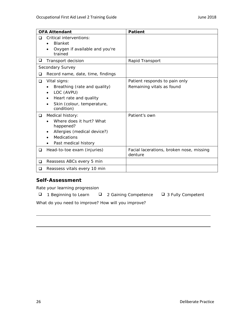|   | <b>OFA Attendant</b>                      | <b>Patient</b>                                      |
|---|-------------------------------------------|-----------------------------------------------------|
| ◻ | Critical interventions:                   |                                                     |
|   | <b>Blanket</b>                            |                                                     |
|   | Oxygen if available and you're<br>trained |                                                     |
| ❏ | Transport decision                        | Rapid Transport                                     |
|   | Secondary Survey                          |                                                     |
| ◻ | Record name, date, time, findings         |                                                     |
| ❏ | Vital signs:                              | Patient responds to pain only                       |
|   | Breathing (rate and quality)              | Remaining vitals as found                           |
|   | LOC (AVPU)                                |                                                     |
|   | Heart rate and quality                    |                                                     |
|   | Skin (colour, temperature,<br>condition)  |                                                     |
| ❏ | Medical history:                          | Patient's own                                       |
|   | Where does it hurt? What<br>happened?     |                                                     |
|   | Allergies (medical device?)               |                                                     |
|   | <b>Medications</b>                        |                                                     |
|   | Past medical history                      |                                                     |
| ❏ | Head-to-toe exam (injuries)               | Facial lacerations, broken nose, missing<br>denture |
| □ | Reassess ABCs every 5 min                 |                                                     |
| ◻ | Reassess vitals every 10 min              |                                                     |

Rate your learning progression

|  | 1 Beginning to Learn |  | □ 2 Gaining Competence | □ 3 Fully Competent |
|--|----------------------|--|------------------------|---------------------|
|--|----------------------|--|------------------------|---------------------|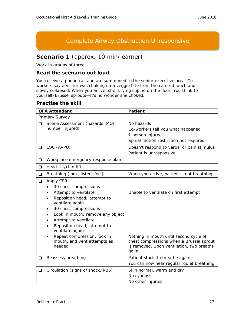## Complete Airway Obstruction Unresponsive

## **Scenario 1** (approx. 10 min/learner)

Work in groups of three.

#### **Read the scenario out loud**

You receive a phone call and are summoned to the senior executive area. Coworkers say a visitor was choking on a veggie bite from the catered lunch and slowly collapsed. When you arrive, she is lying supine on the floor. You think to yourself–Brussel sprouts—it's no wonder she choked.

|        | <b>OFA Attendant</b>                                                                                                                                                                                                                                                                                                                     | <b>Patient</b>                                                                                                                                                                   |
|--------|------------------------------------------------------------------------------------------------------------------------------------------------------------------------------------------------------------------------------------------------------------------------------------------------------------------------------------------|----------------------------------------------------------------------------------------------------------------------------------------------------------------------------------|
|        | Primary Survey                                                                                                                                                                                                                                                                                                                           |                                                                                                                                                                                  |
| ◻      | Scene Assessment (hazards, MOI,<br>number injured)                                                                                                                                                                                                                                                                                       | No hazards<br>Co-workers tell you what happened<br>1 person injured<br>Spinal motion restriction not required                                                                    |
| $\Box$ | LOC (AVPU)                                                                                                                                                                                                                                                                                                                               | Doesn't respond to verbal or pain stimulus<br>Patient is unresponsive                                                                                                            |
| ❏      | Workplace emergency response plan                                                                                                                                                                                                                                                                                                        |                                                                                                                                                                                  |
| ◻      | Head-tilt/chin-lift                                                                                                                                                                                                                                                                                                                      |                                                                                                                                                                                  |
| ❏      | Breathing (look, listen, feel)                                                                                                                                                                                                                                                                                                           | When you arrive, patient is not breathing                                                                                                                                        |
| ❏      | Apply CPR<br>30 chest compressions<br>Attempt to ventilate<br>Reposition head; attempt to<br>ventilate again<br>30 chest compressions<br>Look in mouth; remove any object<br>Attempt to ventilate<br>Reposition head; attempt to<br>ventilate again<br>Repeat compression, look in<br>$\bullet$<br>mouth, and vent attempts as<br>needed | Unable to ventilate on first attempt<br>Nothing in mouth until second cycle of<br>chest compressions when a Brussel sprout<br>is removed. Upon ventilation, two breaths<br>go in |
| ❏      | Reassess breathing                                                                                                                                                                                                                                                                                                                       | Patient starts to breathe again<br>You can now hear regular, quiet breathing                                                                                                     |
| ❏      | Circulation (signs of shock, RBS)                                                                                                                                                                                                                                                                                                        | Skin normal, warm and dry<br>No cyanosis<br>No other injuries                                                                                                                    |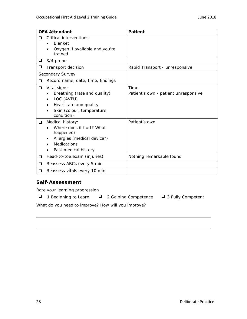|        | <b>OFA Attendant</b>                      | <b>Patient</b>                       |
|--------|-------------------------------------------|--------------------------------------|
| □      | Critical interventions:<br><b>Blanket</b> |                                      |
|        | Oxygen if available and you're<br>trained |                                      |
| ⊔      | 3/4 prone                                 |                                      |
| $\Box$ | Transport decision                        | Rapid Transport - unresponsive       |
|        | Secondary Survey                          |                                      |
| □      | Record name, date, time, findings         |                                      |
| ❏      | Vital signs:                              | Time                                 |
|        | Breathing (rate and quality)              | Patient's own - patient unresponsive |
|        | LOC (AVPU)                                |                                      |
|        | Heart rate and quality                    |                                      |
|        | Skin (colour, temperature,<br>condition)  |                                      |
| $\Box$ | Medical history:                          | Patient's own                        |
|        | Where does it hurt? What<br>happened?     |                                      |
|        | Allergies (medical device?)               |                                      |
|        | <b>Medications</b>                        |                                      |
|        | Past medical history                      |                                      |
| ❏      | Head-to-toe exam (injuries)               | Nothing remarkable found             |
| ❏      | Reassess ABCs every 5 min                 |                                      |
| ❏      | Reassess vitals every 10 min              |                                      |

Rate your learning progression

 $\Box$  1 Beginning to Learn  $\Box$  2 Gaining Competence  $\Box$  3 Fully Competent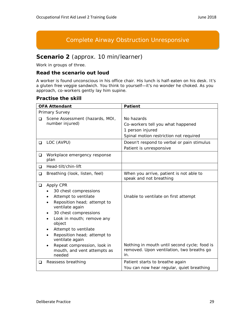## Complete Airway Obstruction Unresponsive

## **Scenario 2** (approx. 10 min/learner)

Work in groups of three.

#### **Read the scenario out loud**

A worker is found unconscious in his office chair. His lunch is half-eaten on his desk. It's a gluten free veggie sandwich. You think to yourself—it's no wonder he choked. As you approach, co-workers gently lay him supine.

|        | <b>OFA Attendant</b>                                                                                                                                                                                                                                                                                                                                | <b>Patient</b>                                                                                                                    |
|--------|-----------------------------------------------------------------------------------------------------------------------------------------------------------------------------------------------------------------------------------------------------------------------------------------------------------------------------------------------------|-----------------------------------------------------------------------------------------------------------------------------------|
|        | Primary Survey                                                                                                                                                                                                                                                                                                                                      |                                                                                                                                   |
| ❏      | Scene Assessment (hazards, MOI,<br>number injured)                                                                                                                                                                                                                                                                                                  | No hazards<br>Co-workers tell you what happened<br>1 person injured<br>Spinal motion restriction not required                     |
| ❏      | LOC (AVPU)                                                                                                                                                                                                                                                                                                                                          | Doesn't respond to verbal or pain stimulus<br>Patient is unresponsive                                                             |
| ❏      | Workplace emergency response<br>plan                                                                                                                                                                                                                                                                                                                |                                                                                                                                   |
| □      | Head-tilt/chin-lift                                                                                                                                                                                                                                                                                                                                 |                                                                                                                                   |
| ❏      | Breathing (look, listen, feel)                                                                                                                                                                                                                                                                                                                      | When you arrive, patient is not able to<br>speak and not breathing                                                                |
| $\Box$ | Apply CPR<br>30 chest compressions<br>Attempt to ventilate<br>Reposition head; attempt to<br>٠<br>ventilate again<br>30 chest compressions<br>Look in mouth; remove any<br>$\bullet$<br>object<br>Attempt to ventilate<br>Reposition head; attempt to<br>ventilate again<br>Repeat compression, look in<br>$\bullet$<br>mouth, and vent attempts as | Unable to ventilate on first attempt<br>Nothing in mouth until second cycle; food is<br>removed. Upon ventilation, two breaths go |
|        | needed                                                                                                                                                                                                                                                                                                                                              | in.                                                                                                                               |
| ❏      | Reassess breathing                                                                                                                                                                                                                                                                                                                                  | Patient starts to breathe again<br>You can now hear regular, quiet breathing                                                      |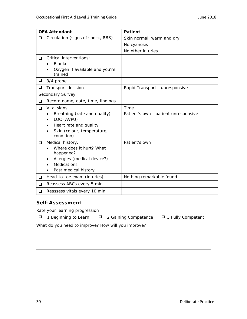|   | <b>OFA Attendant</b>                                                                                                             | <b>Patient</b>                               |
|---|----------------------------------------------------------------------------------------------------------------------------------|----------------------------------------------|
| ◻ | Circulation (signs of shock, RBS)                                                                                                | Skin normal, warm and dry                    |
|   |                                                                                                                                  | No cyanosis                                  |
|   |                                                                                                                                  | No other injuries                            |
| ◻ | Critical interventions:<br><b>Blanket</b><br>Oxygen if available and you're<br>trained                                           |                                              |
| ❏ | 3/4 prone                                                                                                                        |                                              |
| ❏ | Transport decision                                                                                                               | Rapid Transport - unresponsive               |
|   | Secondary Survey                                                                                                                 |                                              |
| ❏ | Record name, date, time, findings                                                                                                |                                              |
| ❏ | Vital signs:<br>Breathing (rate and quality)<br>LOC (AVPU)<br>Heart rate and quality<br>Skin (colour, temperature,<br>condition) | Time<br>Patient's own - patient unresponsive |
| ❏ | Medical history:<br>Where does it hurt? What<br>happened?<br>Allergies (medical device?)<br>Medications<br>Past medical history  | Patient's own                                |
| ❏ | Head-to-toe exam (injuries)                                                                                                      | Nothing remarkable found                     |
| ❏ | Reassess ABCs every 5 min                                                                                                        |                                              |
| ❏ | Reassess vitals every 10 min                                                                                                     |                                              |

Rate your learning progression

- $\Box$  1 Beginning to Learn  $\Box$  2 Gaining Competence  $\Box$  3 Fully Competent
	-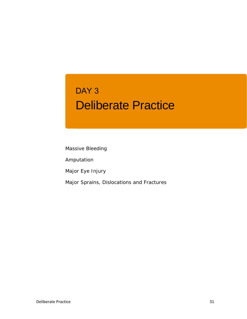## Deliberate Practice DAY 3

Massive Bleeding

Amputation

Major Eye Injury

Major Sprains, Dislocations and Fractures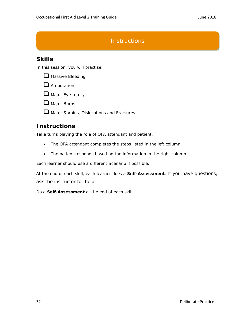## **Instructions**

## **Skills**

In this session, you will practise:



**Amputation** 

Major Eye Injury

 $\Box$  Major Burns

**Q** Major Sprains, Dislocations and Fractures

## **Instructions**

Take turns playing the role of OFA attendant and patient:

- The OFA attendant completes the steps listed in the left column.
- The patient responds based on the information in the right column.

Each learner should use a different Scenario if possible.

At the end of each skill, each learner does a **Self-Assessment**. If you have questions, ask the instructor for help.

Do a **Self-Assessment** at the end of each skill.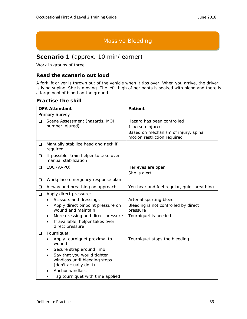## Massive Bleeding

## **Scenario 1** (approx. 10 min/learner)

Work in groups of three.

#### **Read the scenario out loud**

A forklift driver is thrown out of the vehicle when it tips over. When you arrive, the driver is lying supine. She is moving. The left thigh of her pants is soaked with blood and there is a large pool of blood on the ground.

|          | <b>OFA Attendant</b>                                                                  | <b>Patient</b>                                   |
|----------|---------------------------------------------------------------------------------------|--------------------------------------------------|
|          | Primary Survey                                                                        |                                                  |
| ◻        | Scene Assessment (hazards, MOI,                                                       | Hazard has been controlled                       |
|          | number injured)                                                                       | 1 person injured                                 |
|          |                                                                                       | Based on mechanism of injury, spinal             |
|          |                                                                                       | motion restriction required                      |
| ❏        | Manually stabilize head and neck if<br>required                                       |                                                  |
| ❏        | If possible, train helper to take over<br>manual stabilization                        |                                                  |
| ❏        | LOC (AVPU)                                                                            | Her eyes are open                                |
|          |                                                                                       | She is alert                                     |
| ❏        | Workplace emergency response plan                                                     |                                                  |
| ❏        | Airway and breathing on approach                                                      | You hear and feel regular, quiet breathing       |
| ❏        | Apply direct pressure:                                                                |                                                  |
|          | Scissors and dressings                                                                | Arterial spurting bleed                          |
|          | Apply direct pinpoint pressure on<br>wound and maintain                               | Bleeding is not controlled by direct<br>pressure |
|          | More dressing and direct pressure                                                     | Tourniquet is needed                             |
|          | If available, helper takes over<br>$\bullet$<br>direct pressure                       |                                                  |
| <b>□</b> | Tourniquet:                                                                           |                                                  |
|          | Apply tourniquet proximal to<br>wound                                                 | Tourniquet stops the bleeding.                   |
|          | Secure strap around limb                                                              |                                                  |
|          | Say that you would tighten<br>windlass until bleeding stops<br>(don't actually do it) |                                                  |
|          | Anchor windlass                                                                       |                                                  |
|          | Tag tourniquet with time applied                                                      |                                                  |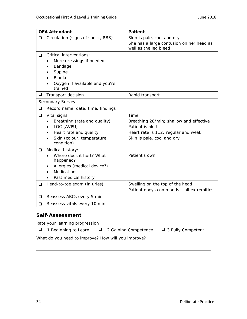|        | <b>OFA Attendant</b>                      | <b>Patient</b>                                                    |
|--------|-------------------------------------------|-------------------------------------------------------------------|
| ◻      | Circulation (signs of shock, RBS)         | Skin is pale, cool and dry                                        |
|        |                                           | She has a large contusion on her head as<br>well as the leg bleed |
| $\Box$ | Critical interventions:                   |                                                                   |
|        | More dressings if needed                  |                                                                   |
|        | Bandage                                   |                                                                   |
|        | Supine                                    |                                                                   |
|        | <b>Blanket</b>                            |                                                                   |
|        | Oxygen if available and you're<br>trained |                                                                   |
| ❏      | Transport decision                        | Rapid transport                                                   |
|        | Secondary Survey                          |                                                                   |
| ◻      | Record name, date, time, findings         |                                                                   |
| $\Box$ | Vital signs:                              | Time                                                              |
|        | Breathing (rate and quality)<br>$\bullet$ | Breathing 28/min; shallow and effective                           |
|        | LOC (AVPU)                                | Patient is alert                                                  |
|        | Heart rate and quality                    | Heart rate is 112; regular and weak                               |
|        | Skin (colour, temperature,<br>condition)  | Skin is pale, cool and dry                                        |
| ❏      | Medical history:                          |                                                                   |
|        | Where does it hurt? What<br>happened?     | Patient's own                                                     |
|        | Allergies (medical device?)               |                                                                   |
|        | Medications                               |                                                                   |
|        | Past medical history                      |                                                                   |
| ❏      | Head-to-toe exam (injuries)               | Swelling on the top of the head                                   |
|        |                                           | Patient obeys commands - all extremities                          |
| ❏      | Reassess ABCs every 5 min                 |                                                                   |
| $\Box$ | Reassess vitals every 10 min              |                                                                   |

Rate your learning progression

 $\Box$  1 Beginning to Learn  $\Box$  2 Gaining Competence  $\Box$  3 Fully Competent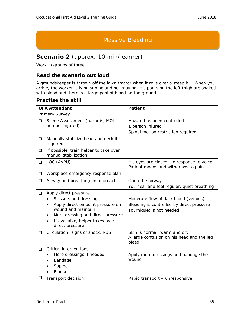### Massive Bleeding

## **Scenario 2** (approx. 10 min/learner)

Work in groups of three.

#### **Read the scenario out loud**

A groundskeeper is thrown off the lawn tractor when it rolls over a steep hill. When you arrive, the worker is lying supine and not moving. His pants on the left thigh are soaked with blood and there is a large pool of blood on the ground.

|             | <b>OFA Attendant</b>                                                                                                                                                                                   | <b>Patient</b>                                                                                                |
|-------------|--------------------------------------------------------------------------------------------------------------------------------------------------------------------------------------------------------|---------------------------------------------------------------------------------------------------------------|
|             | Primary Survey                                                                                                                                                                                         |                                                                                                               |
| ◻           | Scene Assessment (hazards, MOI,                                                                                                                                                                        | Hazard has been controlled                                                                                    |
|             | number injured)                                                                                                                                                                                        | 1 person injured                                                                                              |
|             |                                                                                                                                                                                                        | Spinal motion restriction required                                                                            |
| ❏           | Manually stabilize head and neck if<br>required                                                                                                                                                        |                                                                                                               |
| ❏           | If possible, train helper to take over<br>manual stabilization                                                                                                                                         |                                                                                                               |
| ❏           | LOC (AVPU)                                                                                                                                                                                             | His eyes are closed, no response to voice,<br>Patient moans and withdraws to pain                             |
| ❏           | Workplace emergency response plan                                                                                                                                                                      |                                                                                                               |
| $\Box$      | Airway and breathing on approach                                                                                                                                                                       | Open the airway                                                                                               |
|             |                                                                                                                                                                                                        | You hear and feel regular, quiet breathing                                                                    |
| ❏           | Apply direct pressure:<br>Scissors and dressings<br>Apply direct pinpoint pressure on<br>wound and maintain<br>More dressing and direct pressure<br>If available, helper takes over<br>direct pressure | Moderate flow of dark blood (venous)<br>Bleeding is controlled by direct pressure<br>Tourniquet is not needed |
| ❏           | Circulation (signs of shock, RBS)                                                                                                                                                                      | Skin is normal, warm and dry<br>A large contusion on his head and the leg<br>bleed                            |
| $\Box$<br>❏ | <b>Critical interventions:</b><br>More dressings if needed<br>Bandage<br>Supine<br><b>Blanket</b><br>Transport decision                                                                                | Apply more dressings and bandage the<br>wound<br>Rapid transport - unresponsive                               |
|             |                                                                                                                                                                                                        |                                                                                                               |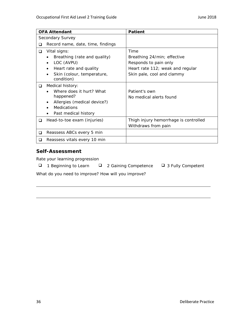|   | <b>OFA Attendant</b>                     | <b>Patient</b>                        |
|---|------------------------------------------|---------------------------------------|
|   | Secondary Survey                         |                                       |
| ❏ | Record name, date, time, findings        |                                       |
| ❏ | Vital signs:                             | Time                                  |
|   | Breathing (rate and quality)             | Breathing 24/min; effective           |
|   | LOC (AVPU)                               | Responds to pain only                 |
|   | Heart rate and quality                   | Heart rate 112; weak and regular      |
|   | Skin (colour, temperature,<br>condition) | Skin pale, cool and clammy            |
| ◻ | Medical history:                         |                                       |
|   | Where does it hurt? What                 | Patient's own                         |
|   | happened?                                | No medical alerts found               |
|   | Allergies (medical device?)              |                                       |
|   | <b>Medications</b>                       |                                       |
|   | Past medical history                     |                                       |
| ◻ | Head-to-toe exam (injuries)              | Thigh injury hemorrhage is controlled |
|   |                                          | Withdraws from pain                   |
| ❏ | Reassess ABCs every 5 min                |                                       |
| ப | Reassess vitals every 10 min             |                                       |

Rate your learning progression

| ❏ |  | 1 Beginning to Learn |
|---|--|----------------------|
|---|--|----------------------|

- 
- $\Box$  2 Gaining Competence  $\Box$  3 Fully Competent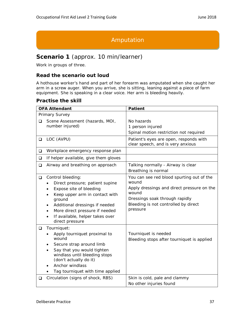## Amputation

## **Scenario 1** (approx. 10 min/learner)

Work in groups of three.

#### **Read the scenario out loud**

A hothouse worker's hand and part of her forearm was amputated when she caught her arm in a screw auger. When you arrive, she is sitting, leaning against a piece of farm equipment. She is speaking in a clear voice. Her arm is bleeding heavily.

|        | <b>OFA Attendant</b>                                                                  | <b>Patient</b>                                                              |
|--------|---------------------------------------------------------------------------------------|-----------------------------------------------------------------------------|
|        | Primary Survey                                                                        |                                                                             |
| ❏      | Scene Assessment (hazards, MOI,                                                       | No hazards                                                                  |
|        | number injured)                                                                       | 1 person injured                                                            |
|        |                                                                                       | Spinal motion restriction not required                                      |
| $\Box$ | LOC (AVPU)                                                                            | Patient's eyes are open, responds with<br>clear speech, and is very anxious |
| ❏      | Workplace emergency response plan                                                     |                                                                             |
| $\Box$ | If helper available, give them gloves                                                 |                                                                             |
| $\Box$ | Airway and breathing on approach                                                      | Talking normally - Airway is clear<br>Breathing is normal                   |
| ❏      | Control bleeding:                                                                     | You can see red blood spurting out of the                                   |
|        | Direct pressure; patient supine                                                       | wound                                                                       |
|        | Expose site of bleeding                                                               | Apply dressings and direct pressure on the<br>wound                         |
|        | Keep upper arm in contact with<br>ground                                              | Dressings soak through rapidly                                              |
|        | Additional dressings if needed                                                        | Bleeding is not controlled by direct                                        |
|        | More direct pressure if needed                                                        | pressure                                                                    |
|        | If available, helper takes over<br>٠<br>direct pressure                               |                                                                             |
| $\Box$ | Tourniquet:                                                                           |                                                                             |
|        | Apply tourniquet proximal to                                                          | Tourniquet is needed                                                        |
|        | wound                                                                                 | Bleeding stops after tourniquet is applied                                  |
|        | Secure strap around limb                                                              |                                                                             |
|        | Say that you would tighten<br>windlass until bleeding stops<br>(don't actually do it) |                                                                             |
|        | Anchor windlass                                                                       |                                                                             |
|        | Tag tourniquet with time applied                                                      |                                                                             |
| ❏      | Circulation (signs of shock, RBS)                                                     | Skin is cold, pale and clammy                                               |
|        |                                                                                       | No other injuries found                                                     |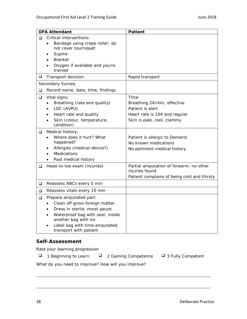|        | <b>OFA Attendant</b>                                     | <b>Patient</b>                              |
|--------|----------------------------------------------------------|---------------------------------------------|
| $\Box$ | Critical interventions:                                  |                                             |
|        | Bandage using crepe roller; do<br>$\bullet$              |                                             |
|        | not cover tourniquet<br>Supine                           |                                             |
|        | Blanket                                                  |                                             |
|        | Oxygen if available and you're                           |                                             |
|        | trained                                                  |                                             |
| ❏      | Transport decision                                       | Rapid transport                             |
|        | Secondary Survey                                         |                                             |
| ❏      | Record name, date, time, findings                        |                                             |
| ❏      | Vital signs:                                             | Time                                        |
|        | Breathing (rate and quality)<br>$\bullet$                | Breathing 24/min; effective                 |
|        | LOC (AVPU)                                               | Patient is alert                            |
|        | Heart rate and quality                                   | Heart rate is 104 and regular               |
|        | Skin (colour, temperature,<br>condition)                 | Skin is pale, cool, clammy                  |
| $\Box$ | Medical history:                                         |                                             |
|        | Where does it hurt? What                                 | Patient is allergic to Demerol              |
|        | happened?                                                | No known medications                        |
|        | Allergies (medical device?)<br>Medications               | No pertinent medical history                |
|        | Past medical history                                     |                                             |
| ❏      | Head-to-toe exam (injuries)                              | Partial amputation of forearm; no other     |
|        |                                                          | injuries found                              |
|        |                                                          | Patient complains of being cold and thirsty |
| $\Box$ | Reassess ABCs every 5 min                                |                                             |
| ❏      | Reassess vitals every 10 min                             |                                             |
| ❏      | Prepare amputated part:                                  |                                             |
|        | Clean off gross foreign matter                           |                                             |
|        | Dress in sterile, moist gauze                            |                                             |
|        | Waterproof bag with seal; inside<br>another bag with ice |                                             |
|        | Label bag with time amputated;<br>transport with patient |                                             |

Rate your learning progression

- $\Box$  1 Beginning to Learn  $\Box$  2 Gaining Competence  $\Box$  3 Fully Competent
	-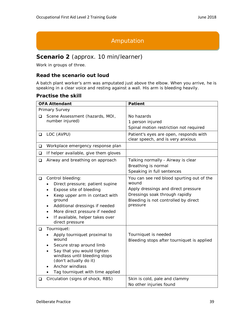## Amputation

## **Scenario 2** (approx. 10 min/learner)

Work in groups of three.

#### **Read the scenario out loud**

A batch plant worker's arm was amputated just above the elbow. When you arrive, he is speaking in a clear voice and resting against a wall. His arm is bleeding heavily.

|        | <b>OFA Attendant</b>                                                                                                                                                                                                                                       | <b>Patient</b>                                                                                                                                                                  |
|--------|------------------------------------------------------------------------------------------------------------------------------------------------------------------------------------------------------------------------------------------------------------|---------------------------------------------------------------------------------------------------------------------------------------------------------------------------------|
|        | Primary Survey                                                                                                                                                                                                                                             |                                                                                                                                                                                 |
| ◻      | Scene Assessment (hazards, MOI,                                                                                                                                                                                                                            | No hazards                                                                                                                                                                      |
|        | number injured)                                                                                                                                                                                                                                            | 1 person injured                                                                                                                                                                |
|        |                                                                                                                                                                                                                                                            | Spinal motion restriction not required                                                                                                                                          |
| $\Box$ | LOC (AVPU)                                                                                                                                                                                                                                                 | Patient's eyes are open, responds with<br>clear speech, and is very anxious                                                                                                     |
| $\Box$ | Workplace emergency response plan                                                                                                                                                                                                                          |                                                                                                                                                                                 |
| $\Box$ | If helper available, give them gloves                                                                                                                                                                                                                      |                                                                                                                                                                                 |
| $\Box$ | Airway and breathing on approach                                                                                                                                                                                                                           | Talking normally - Airway is clear<br>Breathing is normal<br>Speaking in full sentences                                                                                         |
| ❏      | Control bleeding:<br>Direct pressure; patient supine<br>Expose site of bleeding<br>Keep upper arm in contact with<br>ground<br>Additional dressings if needed<br>٠<br>More direct pressure if needed<br>If available, helper takes over<br>direct pressure | You can see red blood spurting out of the<br>wound<br>Apply dressings and direct pressure<br>Dressings soak through rapidly<br>Bleeding is not controlled by direct<br>pressure |
| $\Box$ | Tourniquet:<br>Apply tourniquet proximal to<br>wound<br>Secure strap around limb<br>Say that you would tighten<br>٠<br>windlass until bleeding stops<br>(don't actually do it)<br>Anchor windlass<br>Tag tourniquet with time applied                      | Tourniquet is needed<br>Bleeding stops after tourniquet is applied                                                                                                              |
| ❏      | Circulation (signs of shock, RBS)                                                                                                                                                                                                                          | Skin is cold, pale and clammy<br>No other injuries found                                                                                                                        |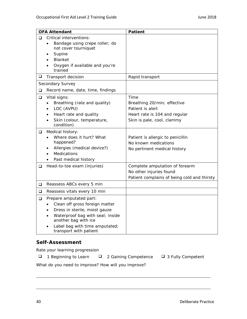|        | <b>OFA Attendant</b>                                                                                                                                                                                               | <b>Patient</b>                                                                                                         |
|--------|--------------------------------------------------------------------------------------------------------------------------------------------------------------------------------------------------------------------|------------------------------------------------------------------------------------------------------------------------|
| ◻      | <b>Critical interventions:</b><br>Bandage using crepe roller; do<br>not cover tourniquet<br>Supine<br>Blanket<br>Oxygen if available and you're<br>trained                                                         |                                                                                                                        |
| ❏      | Transport decision                                                                                                                                                                                                 | Rapid transport                                                                                                        |
|        | Secondary Survey                                                                                                                                                                                                   |                                                                                                                        |
| ❏      | Record name, date, time, findings                                                                                                                                                                                  |                                                                                                                        |
| ❏      | Vital signs:<br>Breathing (rate and quality)<br>LOC (AVPU)<br>Heart rate and quality<br>Skin (colour, temperature,<br>condition)                                                                                   | Time<br>Breathing 20/min; effective<br>Patient is alert<br>Heart rate is 104 and regular<br>Skin is pale, cool, clammy |
| ❏      | Medical history:<br>Where does it hurt? What<br>happened?<br>Allergies (medical device?)<br><b>Medications</b><br>Past medical history                                                                             | Patient is allergic to penicillin<br>No known medications<br>No pertinent medical history                              |
| ❏      | Head-to-toe exam (injuries)                                                                                                                                                                                        | Complete amputation of forearm<br>No other injuries found<br>Patient complains of being cold and thirsty               |
| $\Box$ | Reassess ABCs every 5 min                                                                                                                                                                                          |                                                                                                                        |
| $\Box$ | Reassess vitals every 10 min                                                                                                                                                                                       |                                                                                                                        |
| ❏      | Prepare amputated part:<br>Clean off gross foreign matter<br>Dress in sterile, moist gauze<br>Waterproof bag with seal; inside<br>another bag with ice<br>Label bag with time amputated;<br>transport with patient |                                                                                                                        |

Rate your learning progression

 $\Box$  1 Beginning to Learn  $\Box$  2 Gaining Competence  $\Box$  3 Fully Competent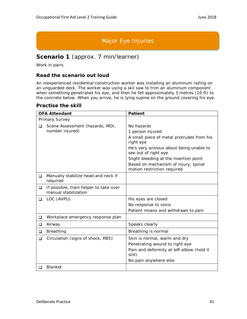## Major Eye Injuries

### **Scenario 1** (approx. 7 min/learner)

Work in pairs.

#### **Read the scenario out loud**

An inexperienced residential construction worker was installing an aluminum railing on an unguarded deck. The worker was using a skil saw to trim an aluminum component when something penetrated his eye, and then he fell approximately 3 metres (10 ft) to the concrete below. When you arrive, he is lying supine on the ground covering his eye.

|   | <b>OFA Attendant</b>                                           | <b>Patient</b>                                                                                                                                                                                                                                                               |
|---|----------------------------------------------------------------|------------------------------------------------------------------------------------------------------------------------------------------------------------------------------------------------------------------------------------------------------------------------------|
|   | Primary Survey                                                 |                                                                                                                                                                                                                                                                              |
| □ | Scene Assessment (hazards, MOI,<br>number injured)             | No hazards<br>1 person injured<br>A small piece of metal protrudes from his<br>right eye<br>He's very anxious about being unable to<br>see out of right eye<br>Slight bleeding at the insertion point<br>Based on mechanism of injury, spinal<br>motion restriction required |
| ❏ | Manually stabilize head and neck if<br>required                |                                                                                                                                                                                                                                                                              |
| ❏ | If possible, train helper to take over<br>manual stabilization |                                                                                                                                                                                                                                                                              |
| ❏ | LOC (AVPU)                                                     | His eyes are closed<br>No response to voice<br>Patient moans and withdraws to pain                                                                                                                                                                                           |
| ❏ | Workplace emergency response plan                              |                                                                                                                                                                                                                                                                              |
| ❏ | Airway                                                         | Speaks clearly                                                                                                                                                                                                                                                               |
| ❏ | Breathing                                                      | Breathing is normal                                                                                                                                                                                                                                                          |
| ❏ | Circulation (signs of shock, RBS)                              | Skin is normal, warm and dry<br>Penetrating wound to right eye<br>Pain and deformity at left elbow (hold it<br>still)<br>No pain anywhere else                                                                                                                               |
| □ | <b>Blanket</b>                                                 |                                                                                                                                                                                                                                                                              |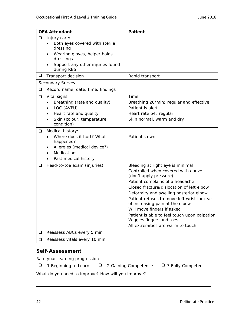|        | <b>OFA Attendant</b>                           | <b>Patient</b>                                                                 |
|--------|------------------------------------------------|--------------------------------------------------------------------------------|
| ❏      | Injury care:                                   |                                                                                |
|        | Both eyes covered with sterile<br>dressing     |                                                                                |
|        | Wearing gloves, helper holds                   |                                                                                |
|        | dressings                                      |                                                                                |
|        | Support any other injuries found<br>during RBS |                                                                                |
| $\Box$ | Transport decision                             | Rapid transport                                                                |
|        | Secondary Survey                               |                                                                                |
| $\Box$ | Record name, date, time, findings              |                                                                                |
| $\Box$ | Vital signs:                                   | Time                                                                           |
|        | Breathing (rate and quality)                   | Breathing 20/min; regular and effective                                        |
|        | LOC (AVPU)                                     | Patient is alert                                                               |
|        | Heart rate and quality                         | Heart rate 64; regular                                                         |
|        | Skin (colour, temperature,<br>condition)       | Skin normal, warm and dry                                                      |
| Q      | Medical history:                               |                                                                                |
|        | Where does it hurt? What<br>happened?          | Patient's own                                                                  |
|        | Allergies (medical device?)                    |                                                                                |
|        | Medications                                    |                                                                                |
|        | Past medical history                           |                                                                                |
| ❏      | Head-to-toe exam (injuries)                    | Bleeding at right eye is minimal                                               |
|        |                                                | Controlled when covered with gauze<br>(don't apply pressure)                   |
|        |                                                | Patient complains of a headache                                                |
|        |                                                | Closed fracture/dislocation of left elbow                                      |
|        |                                                | Deformity and swelling posterior elbow                                         |
|        |                                                | Patient refuses to move left wrist for fear<br>of increasing pain at the elbow |
|        |                                                | Will move fingers if asked                                                     |
|        |                                                | Patient is able to feel touch upon palpation                                   |
|        |                                                | Wiggles fingers and toes                                                       |
|        |                                                | All extremities are warm to touch                                              |
| ❏      | Reassess ABCs every 5 min                      |                                                                                |
| ❏      | Reassess vitals every 10 min                   |                                                                                |

Rate your learning progression

- $\Box$  1 Beginning to Learn  $\Box$  2 Gaining Competence  $\Box$  3 Fully Competent
	-
-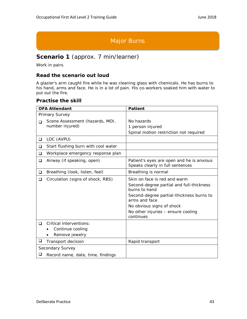## Major Burns

## **Scenario 1** (approx. 7 min/learner)

Work in pairs.

#### **Read the scenario out loud**

A glazier's arm caught fire while he was cleaning glass with chemicals. He has burns to his hand, arms and face. He is in a lot of pain. His co-workers soaked him with water to put out the fire.

|                  | <b>OFA Attendant</b>                | <b>Patient</b>                                                                |
|------------------|-------------------------------------|-------------------------------------------------------------------------------|
|                  | Primary Survey                      |                                                                               |
| □                | Scene Assessment (hazards, MOI,     | No hazards                                                                    |
|                  | number injured)                     | 1 person injured                                                              |
|                  |                                     | Spinal motion restriction not required                                        |
| $\Box$           | LOC (AVPU)                          |                                                                               |
| ❏                | Start flushing burn with cool water |                                                                               |
| ❏                | Workplace emergency response plan   |                                                                               |
| □                | Airway (if speaking, open)          | Patient's eyes are open and he is anxious<br>Speaks clearly in full sentences |
| ❏                | Breathing (look, listen, feel)      | Breathing is normal                                                           |
| ❏                | Circulation (signs of shock, RBS)   | Skin on face is red and warm                                                  |
|                  |                                     | Second-degree partial and full-thickness<br>burns to hand                     |
|                  |                                     | Second-degree partial-thickness burns to<br>arms and face                     |
|                  |                                     | No obvious signs of shock                                                     |
|                  |                                     | No other injuries - ensure cooling<br>continues                               |
| □                | Critical interventions:             |                                                                               |
|                  | Continue cooling                    |                                                                               |
|                  | Remove jewelry                      |                                                                               |
| ❏                | Transport decision                  | Rapid transport                                                               |
| Secondary Survey |                                     |                                                                               |
| ❏                | Record name, date, time, findings   |                                                                               |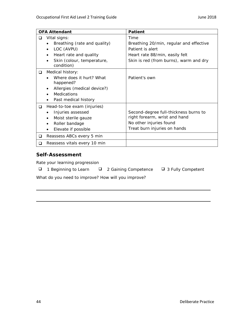|        | <b>OFA Attendant</b>                                  | <b>Patient</b>                          |
|--------|-------------------------------------------------------|-----------------------------------------|
| ◻      | Vital signs:                                          | Time                                    |
|        | Breathing (rate and quality)                          | Breathing 20/min, regular and effective |
|        | LOC (AVPU)                                            | Patient is alert                        |
|        | Heart rate and quality                                | Heart rate 88/min, easily felt          |
|        | Skin (colour, temperature,<br>$\bullet$<br>condition) | Skin is red (from burns), warm and dry  |
| ❏      | Medical history:                                      |                                         |
|        | Where does it hurt? What                              | Patient's own                           |
|        | happened?                                             |                                         |
|        | Allergies (medical device?)                           |                                         |
|        | <b>Medications</b>                                    |                                         |
|        | Past medical history                                  |                                         |
| $\Box$ | Head-to-toe exam (injuries)                           |                                         |
|        | Injuries assessed                                     | Second-degree full-thickness burns to   |
|        | Moist sterile gauze<br>$\bullet$                      | right forearm, wrist and hand           |
|        | Roller bandage<br>$\bullet$                           | No other injuries found                 |
|        | Elevate if possible                                   | Treat burn injuries on hands            |
| Q      | Reassess ABCs every 5 min                             |                                         |
| □      | Reassess vitals every 10 min                          |                                         |

Rate your learning progression

- $\Box$  1 Beginning to Learn  $\Box$  2 Gaining Competence  $\Box$  3 Fully Competent
	-
-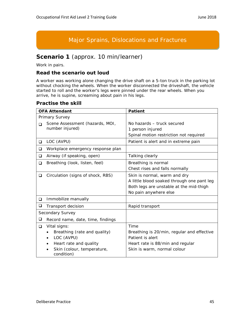## Major Sprains, Dislocations and Fractures

## **Scenario 1** (approx. 10 min/learner)

Work in pairs.

#### **Read the scenario out loud**

A worker was working alone changing the drive shaft on a 5-ton truck in the parking lot without chocking the wheels. When the worker disconnected the driveshaft, the vehicle started to roll and the worker's legs were pinned under the rear wheels. When you arrive, he is supine, screaming about pain in his legs.

|        | <b>OFA Attendant</b>                     | <b>Patient</b>                             |
|--------|------------------------------------------|--------------------------------------------|
|        | Primary Survey                           |                                            |
| $\Box$ | Scene Assessment (hazards, MOI,          | No hazards - truck secured                 |
|        | number injured)                          | 1 person injured                           |
|        |                                          | Spinal motion restriction not required     |
| ❏      | LOC (AVPU)                               | Patient is alert and in extreme pain       |
| ❏      | Workplace emergency response plan        |                                            |
| ❏      | Airway (if speaking, open)               | Talking clearly                            |
| ❏      | Breathing (look, listen, feel)           | Breathing is normal                        |
|        |                                          | Chest rises and falls normally             |
| ❏      | Circulation (signs of shock, RBS)        | Skin is normal, warm and dry               |
|        |                                          | A little blood soaked through one pant leg |
|        |                                          | Both legs are unstable at the mid-thigh    |
|        |                                          | No pain anywhere else                      |
| $\Box$ | Immobilize manually                      |                                            |
| ⊔      | Transport decision                       | Rapid transport                            |
|        | Secondary Survey                         |                                            |
| ❏      | Record name, date, time, findings        |                                            |
| ❏      | Vital signs:                             | Time                                       |
|        | Breathing (rate and quality)             | Breathing is 20/min, regular and effective |
|        | LOC (AVPU)                               | Patient is alert                           |
|        | Heart rate and quality                   | Heart rate is 88/min and regular           |
|        | Skin (colour, temperature,<br>condition) | Skin is warm, normal colour                |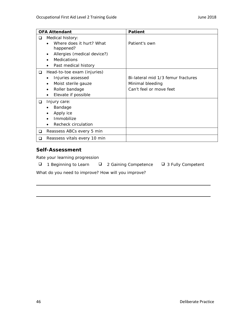|        | <b>OFA Attendant</b>                                                                                             | <b>Patient</b>                                                                    |
|--------|------------------------------------------------------------------------------------------------------------------|-----------------------------------------------------------------------------------|
| ❏      | Medical history:                                                                                                 |                                                                                   |
|        | Where does it hurt? What<br>happened?                                                                            | Patient's own                                                                     |
|        | Allergies (medical device?)                                                                                      |                                                                                   |
|        | <b>Medications</b><br>Past medical history<br>$\bullet$                                                          |                                                                                   |
| $\Box$ | Head-to-toe exam (injuries)<br>Injuries assessed<br>Moist sterile gauze<br>Roller bandage<br>Elevate if possible | Bi-lateral mid 1/3 femur fractures<br>Minimal bleeding<br>Can't feel or move feet |
| Q.     | Injury care:<br>Bandage<br>Apply ice<br>Immobilize<br>Recheck circulation                                        |                                                                                   |
| ❏      | Reassess ABCs every 5 min                                                                                        |                                                                                   |
| ◻      | Reassess vitals every 10 min                                                                                     |                                                                                   |

Rate your learning progression

- $\Box$  1 Beginning to Learn  $\Box$  2 Gaining Competence  $\Box$  3 Fully Competent
	-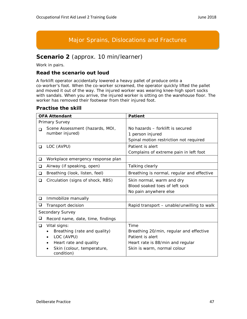## Major Sprains, Dislocations and Fractures

### **Scenario 2** (approx. 10 min/learner)

Work in pairs.

#### **Read the scenario out loud**

A forklift operator accidentally lowered a heavy pallet of produce onto a co-worker's foot. When the co-worker screamed, the operator quickly lifted the pallet and moved it out of the way. The injured worker was wearing knee-high sport socks with sandals. When you arrive, the injured worker is sitting on the warehouse floor. The worker has removed their footwear from their injured foot.

|   | <b>OFA Attendant</b>                                                                                                             | <b>Patient</b>                                                                                                                         |
|---|----------------------------------------------------------------------------------------------------------------------------------|----------------------------------------------------------------------------------------------------------------------------------------|
|   | Primary Survey                                                                                                                   |                                                                                                                                        |
| ∩ | Scene Assessment (hazards, MOI,<br>number injured)                                                                               | No hazards – forklift is secured<br>1 person injured<br>Spinal motion restriction not required                                         |
| ❏ | LOC (AVPU)                                                                                                                       | Patient is alert<br>Complains of extreme pain in left foot                                                                             |
| ❏ | Workplace emergency response plan                                                                                                |                                                                                                                                        |
| ❏ | Airway (if speaking, open)                                                                                                       | Talking clearly                                                                                                                        |
| ❏ | Breathing (look, listen, feel)                                                                                                   | Breathing is normal, regular and effective                                                                                             |
| ❏ | Circulation (signs of shock, RBS)                                                                                                | Skin normal, warm and dry<br>Blood soaked toes of left sock<br>No pain anywhere else                                                   |
| ❏ | Immobilize manually                                                                                                              |                                                                                                                                        |
| ❏ | Transport decision                                                                                                               | Rapid transport - unable/unwilling to walk                                                                                             |
|   | Secondary Survey                                                                                                                 |                                                                                                                                        |
| ❏ | Record name, date, time, findings                                                                                                |                                                                                                                                        |
| ❏ | Vital signs:<br>Breathing (rate and quality)<br>LOC (AVPU)<br>Heart rate and quality<br>Skin (colour, temperature,<br>condition) | Time<br>Breathing 20/min, regular and effective<br>Patient is alert<br>Heart rate is 88/min and regular<br>Skin is warm, normal colour |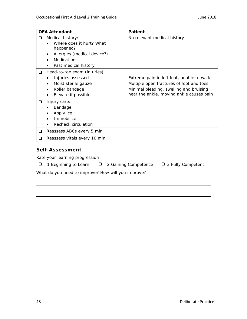|        | <b>OFA Attendant</b>                                                                                                                                             | Patient                                                                                                                                                                      |
|--------|------------------------------------------------------------------------------------------------------------------------------------------------------------------|------------------------------------------------------------------------------------------------------------------------------------------------------------------------------|
| Q      | Medical history:<br>Where does it hurt? What<br>happened?<br>Allergies (medical device?)<br>$\bullet$<br><b>Medications</b><br>Past medical history<br>$\bullet$ | No relevant medical history                                                                                                                                                  |
| □      | Head-to-toe exam (injuries)<br>Injuries assessed<br>Moist sterile gauze<br>$\bullet$<br>Roller bandage<br>$\bullet$<br>Elevate if possible                       | Extreme pain in left foot, unable to walk<br>Multiple open fractures of foot and toes<br>Minimal bleeding, swelling and bruising<br>near the ankle, moving ankle causes pain |
| $\Box$ | Injury care:<br>Bandage<br>Apply ice<br>Immobilize<br>Recheck circulation                                                                                        |                                                                                                                                                                              |
| □      | Reassess ABCs every 5 min                                                                                                                                        |                                                                                                                                                                              |
| □      | Reassess vitals every 10 min                                                                                                                                     |                                                                                                                                                                              |

Rate your learning progression

- $\Box$  1 Beginning to Learn  $\Box$  2 Gaining Competence  $\Box$  3 Fully Competent
	-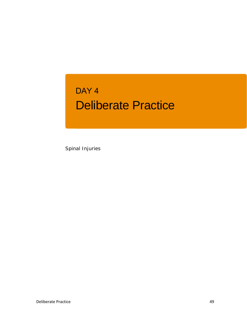## Deliberate Practice DAY<sub>4</sub>

Spinal Injuries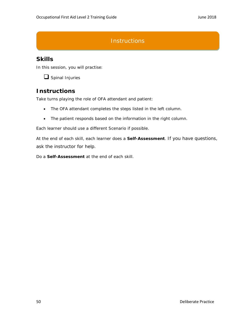## **Instructions**

## **Skills**

In this session, you will practise:



## **Instructions**

Take turns playing the role of OFA attendant and patient:

- The OFA attendant completes the steps listed in the left column.
- The patient responds based on the information in the right column.

Each learner should use a different Scenario if possible.

At the end of each skill, each learner does a **Self-Assessment**. If you have questions, ask the instructor for help.

Do a **Self-Assessment** at the end of each skill.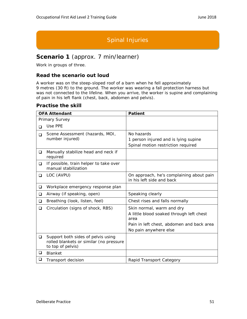## Spinal Injuries

## **Scenario 1** (approx. 7 min/learner)

Work in groups of three.

#### **Read the scenario out loud**

A worker was on the steep-sloped roof of a barn when he fell approximately 9 metres (30 ft) to the ground. The worker was wearing a fall protection harness but was not connected to the lifeline. When you arrive, the worker is supine and complaining of pain in his left flank (chest, back, abdomen and pelvis).

|        | <b>OFA Attendant</b>                                                                               | <b>Patient</b>                                                        |
|--------|----------------------------------------------------------------------------------------------------|-----------------------------------------------------------------------|
|        | Primary Survey                                                                                     |                                                                       |
| $\Box$ | Use PPE                                                                                            |                                                                       |
| $\Box$ | Scene Assessment (hazards, MOI,<br>number injured)                                                 | No hazards<br>1 person injured and is lying supine                    |
|        |                                                                                                    | Spinal motion restriction required                                    |
| ❏      | Manually stabilize head and neck if<br>required                                                    |                                                                       |
| ❏      | If possible, train helper to take over<br>manual stabilization                                     |                                                                       |
| ❏      | LOC (AVPU)                                                                                         | On approach, he's complaining about pain<br>in his left side and back |
| $\Box$ | Workplace emergency response plan                                                                  |                                                                       |
| ❏      | Airway (if speaking, open)                                                                         | Speaking clearly                                                      |
| ❏      | Breathing (look, listen, feel)                                                                     | Chest rises and falls normally                                        |
| ❏      | Circulation (signs of shock, RBS)                                                                  | Skin normal, warm and dry<br>A little blood soaked through left chest |
|        |                                                                                                    | area                                                                  |
|        |                                                                                                    | Pain in left chest, abdomen and back area                             |
|        |                                                                                                    | No pain anywhere else                                                 |
| ❏      | Support both sides of pelvis using<br>rolled blankets or similar (no pressure<br>to top of pelvis) |                                                                       |
| ❏      | <b>Blanket</b>                                                                                     |                                                                       |
| u      | Transport decision                                                                                 | Rapid Transport Category                                              |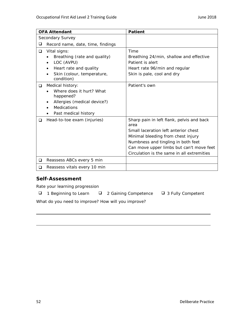|        | <b>OFA Attendant</b>                                                                                                                   | <b>Patient</b>                                                                                                                                                                                                                                                  |
|--------|----------------------------------------------------------------------------------------------------------------------------------------|-----------------------------------------------------------------------------------------------------------------------------------------------------------------------------------------------------------------------------------------------------------------|
|        | Secondary Survey                                                                                                                       |                                                                                                                                                                                                                                                                 |
| ❏      | Record name, date, time, findings                                                                                                      |                                                                                                                                                                                                                                                                 |
| $\Box$ | Vital signs:<br>Breathing (rate and quality)                                                                                           | Time<br>Breathing 24/min, shallow and effective                                                                                                                                                                                                                 |
|        | LOC (AVPU)<br>Heart rate and quality<br>Skin (colour, temperature,<br>condition)                                                       | Patient is alert<br>Heart rate 96/min and regular<br>Skin is pale, cool and dry                                                                                                                                                                                 |
| $\Box$ | Medical history:<br>Where does it hurt? What<br>happened?<br>Allergies (medical device?)<br><b>Medications</b><br>Past medical history | Patient's own                                                                                                                                                                                                                                                   |
| ◻      | Head-to-toe exam (injuries)                                                                                                            | Sharp pain in left flank, pelvis and back<br>area<br>Small laceration left anterior chest<br>Minimal bleeding from chest injury<br>Numbness and tingling in both feet<br>Can move upper limbs but can't move feet<br>Circulation is the same in all extremities |
| $\Box$ | Reassess ABCs every 5 min                                                                                                              |                                                                                                                                                                                                                                                                 |
| □      | Reassess vitals every 10 min                                                                                                           |                                                                                                                                                                                                                                                                 |

Rate your learning progression

|  | 1 Beginning to Learn |  |
|--|----------------------|--|
|--|----------------------|--|

- 
- eginning to Learn  $\Box$  2 Gaining Competence  $\Box$  3 Fully Competent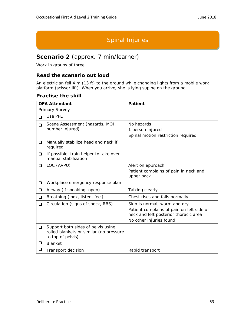## Spinal Injuries

### **Scenario 2** (approx. 7 min/learner)

Work in groups of three.

#### **Read the scenario out loud**

An electrician fell 4 m (13 ft) to the ground while changing lights from a mobile work platform (scissor lift). When you arrive, she is lying supine on the ground.

|                                           | <b>OFA Attendant</b>                                           | <b>Patient</b>                                                                     |
|-------------------------------------------|----------------------------------------------------------------|------------------------------------------------------------------------------------|
|                                           | Primary Survey                                                 |                                                                                    |
| ◻                                         | Use PPE                                                        |                                                                                    |
| Scene Assessment (hazards, MOI,<br>$\Box$ |                                                                | No hazards                                                                         |
|                                           | number injured)                                                | 1 person injured                                                                   |
|                                           |                                                                | Spinal motion restriction required                                                 |
| ❏                                         | Manually stabilize head and neck if<br>required                |                                                                                    |
| ❏                                         | If possible, train helper to take over<br>manual stabilization |                                                                                    |
| ❏                                         | LOC (AVPU)                                                     | Alert on approach                                                                  |
|                                           |                                                                | Patient complains of pain in neck and<br>upper back                                |
| ❏                                         | Workplace emergency response plan                              |                                                                                    |
| ❏                                         | Airway (if speaking, open)                                     | Talking clearly                                                                    |
| ◻                                         | Breathing (look, listen, feel)                                 | Chest rises and falls normally                                                     |
| ❏                                         | Circulation (signs of shock, RBS)                              | Skin is normal, warm and dry                                                       |
|                                           |                                                                | Patient complains of pain on left side of<br>neck and left posterior thoracic area |
|                                           |                                                                | No other injuries found                                                            |
| ❏                                         | Support both sides of pelvis using                             |                                                                                    |
|                                           | rolled blankets or similar (no pressure<br>to top of pelvis)   |                                                                                    |
| ❏                                         | <b>Blanket</b>                                                 |                                                                                    |
| u                                         | Transport decision                                             | Rapid transport                                                                    |